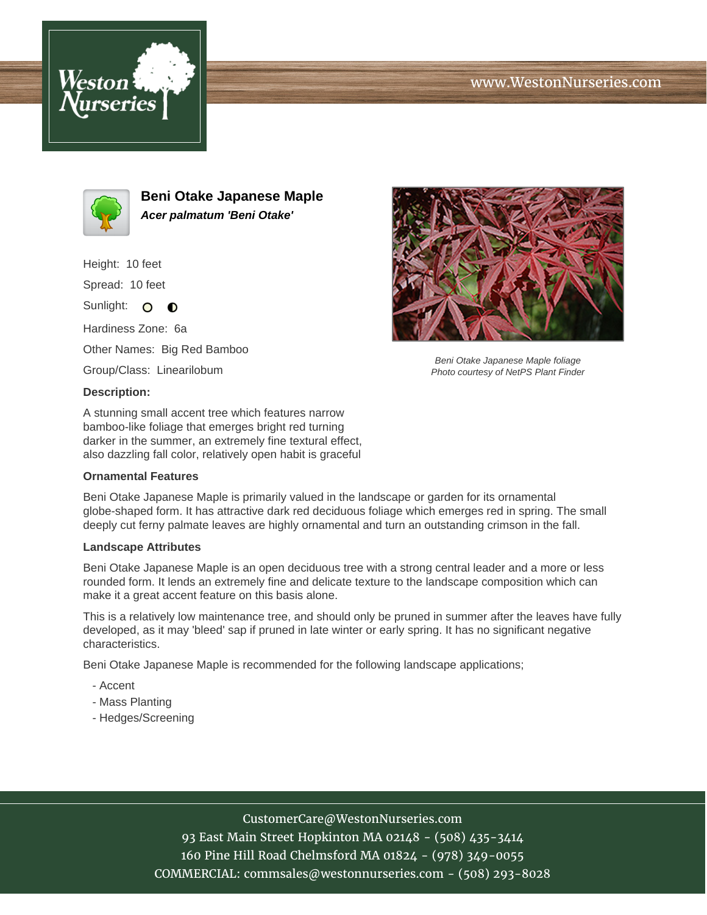## www.WestonNurseries.com





**Beni Otake Japanese Maple Acer palmatum 'Beni Otake'**

Height: 10 feet Spread: 10 feet Sunlight: O  $\bullet$ Hardiness Zone: 6a Other Names: Big Red Bamboo Group/Class: Linearilobum **Description:**

A stunning small accent tree which features narrow bamboo-like foliage that emerges bright red turning darker in the summer, an extremely fine textural effect, also dazzling fall color, relatively open habit is graceful

## **Ornamental Features**

Beni Otake Japanese Maple is primarily valued in the landscape or garden for its ornamental globe-shaped form. It has attractive dark red deciduous foliage which emerges red in spring. The small deeply cut ferny palmate leaves are highly ornamental and turn an outstanding crimson in the fall.

## **Landscape Attributes**

Beni Otake Japanese Maple is an open deciduous tree with a strong central leader and a more or less rounded form. It lends an extremely fine and delicate texture to the landscape composition which can make it a great accent feature on this basis alone.

This is a relatively low maintenance tree, and should only be pruned in summer after the leaves have fully developed, as it may 'bleed' sap if pruned in late winter or early spring. It has no significant negative characteristics.

Beni Otake Japanese Maple is recommended for the following landscape applications;

- Accent
- Mass Planting
- Hedges/Screening



93 East Main Street Hopkinton MA 02148 - (508) 435-3414 160 Pine Hill Road Chelmsford MA 01824 - (978) 349-0055 COMMERCIAL: commsales@westonnurseries.com - (508) 293-8028



Beni Otake Japanese Maple foliage Photo courtesy of NetPS Plant Finder